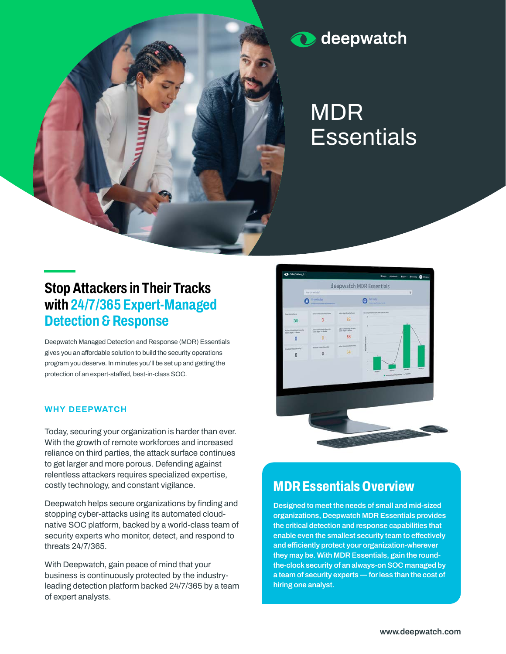

deepwatch  $\mathbf{\Omega}$ 

# **MDR Essentials**

# **Stop Attackers in Their Tracks with 24/7/365 Expert-Managed Detection & Response**

**Deepwatch Managed Detection and Response (MDR) Essentials gives you an affordable solution to build the security operations program you deserve. In minutes you'll be set up and getting the protection of an expert-staffed, best-in-class SOC.**

### **WHY DEEPWATCH**

**Today, securing your organization is harder than ever. With the growth of remote workforces and increased reliance on third parties, the attack surface continues to get larger and more porous. Defending against relentless attackers requires specialized expertise, costly technology, and constant vigilance.**

**Deepwatch helps secure organizations by finding and stopping cyber-attacks using its automated cloudnative SOC platform, backed by a world-class team of security experts who monitor, detect, and respond to threats 24/7/365.**

**With Deepwatch, gain peace of mind that your business is continuously protected by the industryleading detection platform backed 24/7/365 by a team of expert analysts.**



## **MDR Essentials Overview**

**Designed to meet the needs of small and mid-sized organizations, Deepwatch MDR Essentials provides the critical detection and response capabilities that enable even the smallest security team to effectively and efficiently protect your organization-wherever they may be. With MDR Essentials, gain the roundthe-clock security of an always-on SOC managed by a team of security experts — for less than the cost of hiring one analyst.**